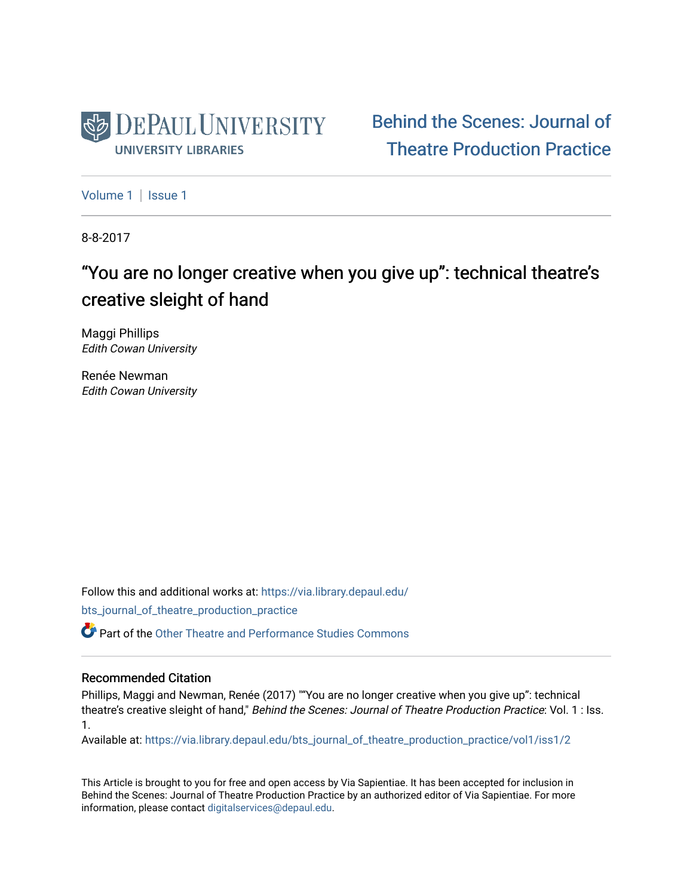

[Behind the Scenes: Journal of](https://via.library.depaul.edu/bts_journal_of_theatre_production_practice)  [Theatre Production Practice](https://via.library.depaul.edu/bts_journal_of_theatre_production_practice) 

[Volume 1](https://via.library.depaul.edu/bts_journal_of_theatre_production_practice/vol1) | Issue 1

8-8-2017

# "You are no longer creative when you give up": technical theatre's creative sleight of hand

Maggi Phillips Edith Cowan University

Renée Newman Edith Cowan University

Follow this and additional works at: [https://via.library.depaul.edu/](https://via.library.depaul.edu/bts_journal_of_theatre_production_practice?utm_source=via.library.depaul.edu%2Fbts_journal_of_theatre_production_practice%2Fvol1%2Fiss1%2F2&utm_medium=PDF&utm_campaign=PDFCoverPages) [bts\\_journal\\_of\\_theatre\\_production\\_practice](https://via.library.depaul.edu/bts_journal_of_theatre_production_practice?utm_source=via.library.depaul.edu%2Fbts_journal_of_theatre_production_practice%2Fvol1%2Fiss1%2F2&utm_medium=PDF&utm_campaign=PDFCoverPages)

Part of the [Other Theatre and Performance Studies Commons](http://network.bepress.com/hgg/discipline/558?utm_source=via.library.depaul.edu%2Fbts_journal_of_theatre_production_practice%2Fvol1%2Fiss1%2F2&utm_medium=PDF&utm_campaign=PDFCoverPages) 

#### Recommended Citation

Phillips, Maggi and Newman, Renée (2017) ""You are no longer creative when you give up": technical theatre's creative sleight of hand," Behind the Scenes: Journal of Theatre Production Practice: Vol. 1 : Iss. 1.

Available at: [https://via.library.depaul.edu/bts\\_journal\\_of\\_theatre\\_production\\_practice/vol1/iss1/2](https://via.library.depaul.edu/bts_journal_of_theatre_production_practice/vol1/iss1/2?utm_source=via.library.depaul.edu%2Fbts_journal_of_theatre_production_practice%2Fvol1%2Fiss1%2F2&utm_medium=PDF&utm_campaign=PDFCoverPages)

This Article is brought to you for free and open access by Via Sapientiae. It has been accepted for inclusion in Behind the Scenes: Journal of Theatre Production Practice by an authorized editor of Via Sapientiae. For more information, please contact [digitalservices@depaul.edu](mailto:digitalservices@depaul.edu).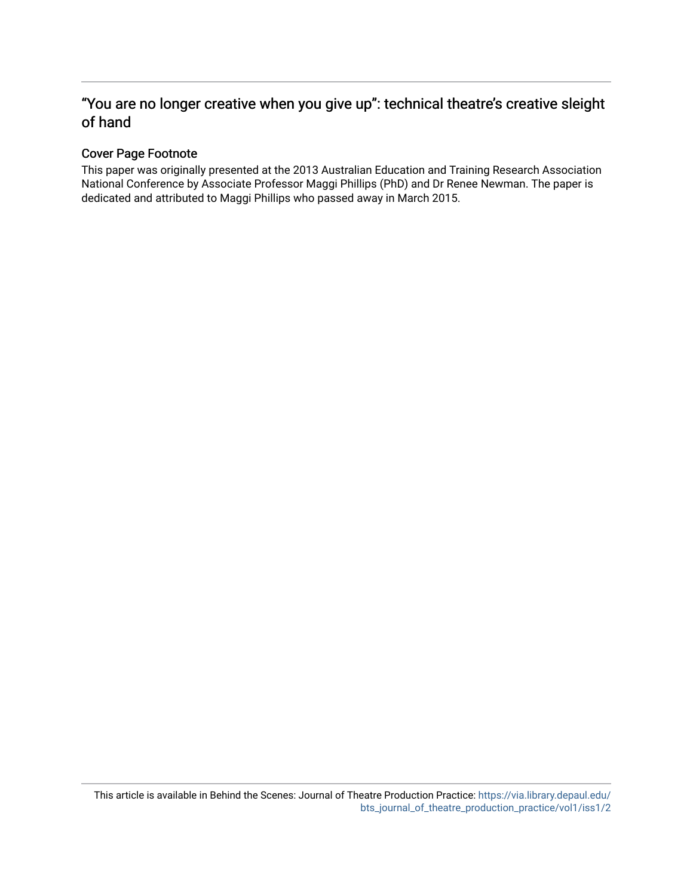### "You are no longer creative when you give up": technical theatre's creative sleight of hand

#### Cover Page Footnote

This paper was originally presented at the 2013 Australian Education and Training Research Association National Conference by Associate Professor Maggi Phillips (PhD) and Dr Renee Newman. The paper is dedicated and attributed to Maggi Phillips who passed away in March 2015.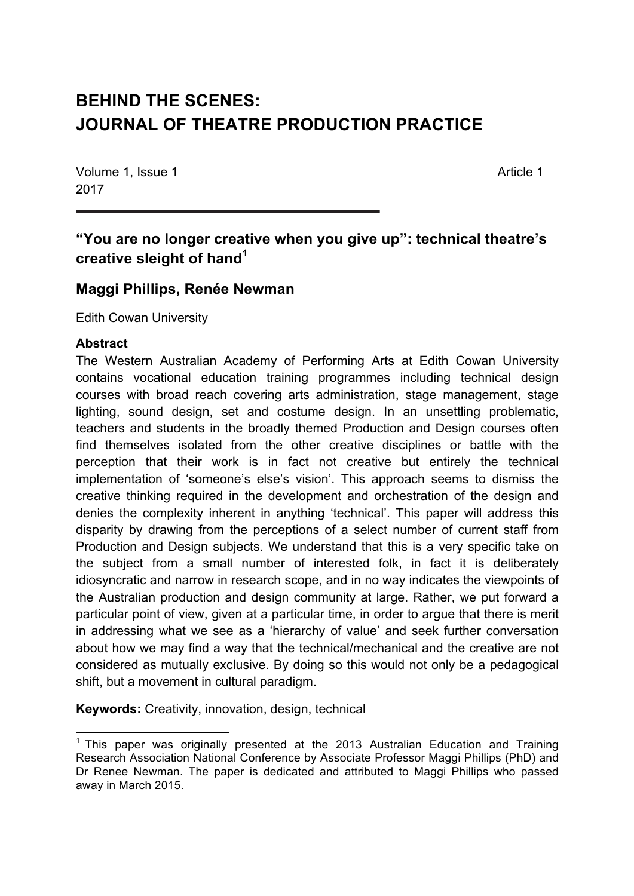# **BEHIND THE SCENES: JOURNAL OF THEATRE PRODUCTION PRACTICE**

Volume 1, Issue 1 Article 1 2017

## **"You are no longer creative when you give up": technical theatre's creative sleight of hand<sup>1</sup>**

## **Maggi Phillips, Renée Newman**

Edith Cowan University

#### **Abstract**

The Western Australian Academy of Performing Arts at Edith Cowan University contains vocational education training programmes including technical design courses with broad reach covering arts administration, stage management, stage lighting, sound design, set and costume design. In an unsettling problematic, teachers and students in the broadly themed Production and Design courses often find themselves isolated from the other creative disciplines or battle with the perception that their work is in fact not creative but entirely the technical implementation of 'someone's else's vision'. This approach seems to dismiss the creative thinking required in the development and orchestration of the design and denies the complexity inherent in anything 'technical'. This paper will address this disparity by drawing from the perceptions of a select number of current staff from Production and Design subjects. We understand that this is a very specific take on the subject from a small number of interested folk, in fact it is deliberately idiosyncratic and narrow in research scope, and in no way indicates the viewpoints of the Australian production and design community at large. Rather, we put forward a particular point of view, given at a particular time, in order to argue that there is merit in addressing what we see as a 'hierarchy of value' and seek further conversation about how we may find a way that the technical/mechanical and the creative are not considered as mutually exclusive. By doing so this would not only be a pedagogical shift, but a movement in cultural paradigm.

**Keywords:** Creativity, innovation, design, technical

<u> 1989 - Johann Stein, marwolaethau a bh</u>

 $1$  This paper was originally presented at the 2013 Australian Education and Training Research Association National Conference by Associate Professor Maggi Phillips (PhD) and Dr Renee Newman. The paper is dedicated and attributed to Maggi Phillips who passed away in March 2015.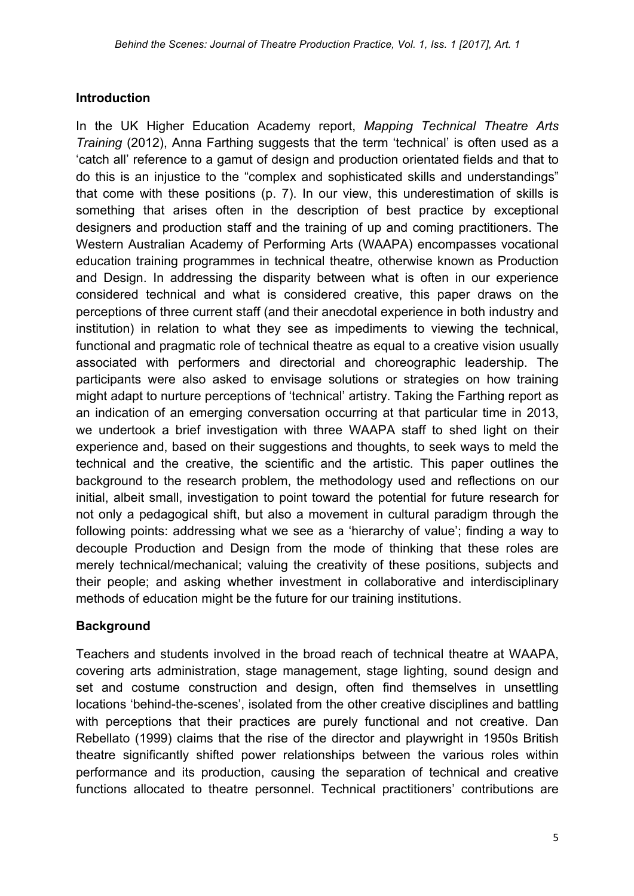#### **Introduction**

In the UK Higher Education Academy report, *Mapping Technical Theatre Arts Training* (2012), Anna Farthing suggests that the term 'technical' is often used as a 'catch all' reference to a gamut of design and production orientated fields and that to do this is an injustice to the "complex and sophisticated skills and understandings" that come with these positions (p. 7). In our view, this underestimation of skills is something that arises often in the description of best practice by exceptional designers and production staff and the training of up and coming practitioners. The Western Australian Academy of Performing Arts (WAAPA) encompasses vocational education training programmes in technical theatre, otherwise known as Production and Design. In addressing the disparity between what is often in our experience considered technical and what is considered creative, this paper draws on the perceptions of three current staff (and their anecdotal experience in both industry and institution) in relation to what they see as impediments to viewing the technical, functional and pragmatic role of technical theatre as equal to a creative vision usually associated with performers and directorial and choreographic leadership. The participants were also asked to envisage solutions or strategies on how training might adapt to nurture perceptions of 'technical' artistry. Taking the Farthing report as an indication of an emerging conversation occurring at that particular time in 2013, we undertook a brief investigation with three WAAPA staff to shed light on their experience and, based on their suggestions and thoughts, to seek ways to meld the technical and the creative, the scientific and the artistic. This paper outlines the background to the research problem, the methodology used and reflections on our initial, albeit small, investigation to point toward the potential for future research for not only a pedagogical shift, but also a movement in cultural paradigm through the following points: addressing what we see as a 'hierarchy of value'; finding a way to decouple Production and Design from the mode of thinking that these roles are merely technical/mechanical; valuing the creativity of these positions, subjects and their people; and asking whether investment in collaborative and interdisciplinary methods of education might be the future for our training institutions.

#### **Background**

Teachers and students involved in the broad reach of technical theatre at WAAPA, covering arts administration, stage management, stage lighting, sound design and set and costume construction and design, often find themselves in unsettling locations 'behind-the-scenes', isolated from the other creative disciplines and battling with perceptions that their practices are purely functional and not creative. Dan Rebellato (1999) claims that the rise of the director and playwright in 1950s British theatre significantly shifted power relationships between the various roles within performance and its production, causing the separation of technical and creative functions allocated to theatre personnel. Technical practitioners' contributions are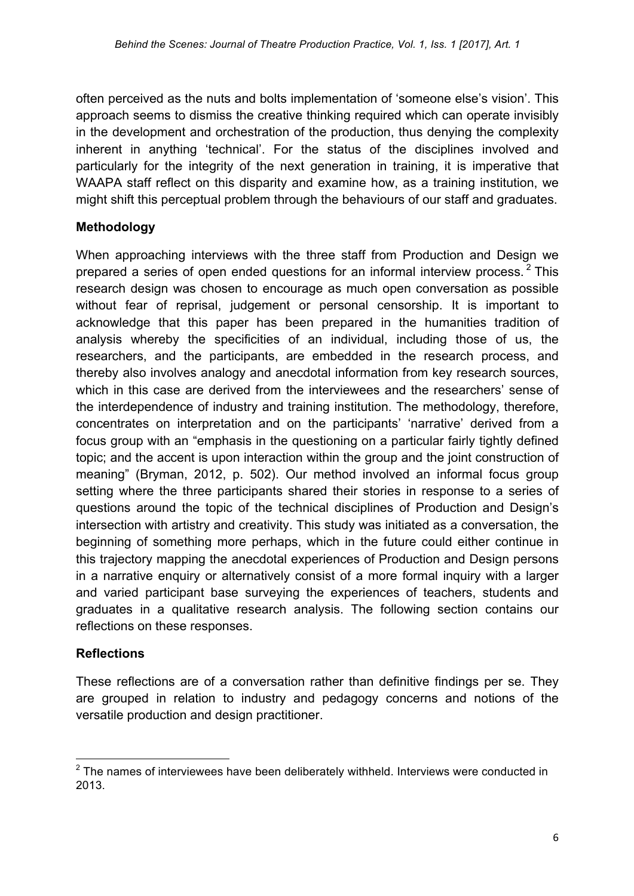often perceived as the nuts and bolts implementation of 'someone else's vision'. This approach seems to dismiss the creative thinking required which can operate invisibly in the development and orchestration of the production, thus denying the complexity inherent in anything 'technical'. For the status of the disciplines involved and particularly for the integrity of the next generation in training, it is imperative that WAAPA staff reflect on this disparity and examine how, as a training institution, we might shift this perceptual problem through the behaviours of our staff and graduates.

#### **Methodology**

When approaching interviews with the three staff from Production and Design we prepared a series of open ended questions for an informal interview process.  $2$  This research design was chosen to encourage as much open conversation as possible without fear of reprisal, judgement or personal censorship. It is important to acknowledge that this paper has been prepared in the humanities tradition of analysis whereby the specificities of an individual, including those of us, the researchers, and the participants, are embedded in the research process, and thereby also involves analogy and anecdotal information from key research sources, which in this case are derived from the interviewees and the researchers' sense of the interdependence of industry and training institution. The methodology, therefore, concentrates on interpretation and on the participants' 'narrative' derived from a focus group with an "emphasis in the questioning on a particular fairly tightly defined topic; and the accent is upon interaction within the group and the joint construction of meaning" (Bryman, 2012, p. 502). Our method involved an informal focus group setting where the three participants shared their stories in response to a series of questions around the topic of the technical disciplines of Production and Design's intersection with artistry and creativity. This study was initiated as a conversation, the beginning of something more perhaps, which in the future could either continue in this trajectory mapping the anecdotal experiences of Production and Design persons in a narrative enquiry or alternatively consist of a more formal inquiry with a larger and varied participant base surveying the experiences of teachers, students and graduates in a qualitative research analysis. The following section contains our reflections on these responses.

### **Reflections**

<u> 1989 - Johann Stein, marwolaethau a bh</u>

These reflections are of a conversation rather than definitive findings per se. They are grouped in relation to industry and pedagogy concerns and notions of the versatile production and design practitioner.

 $2$  The names of interviewees have been deliberately withheld. Interviews were conducted in 2013.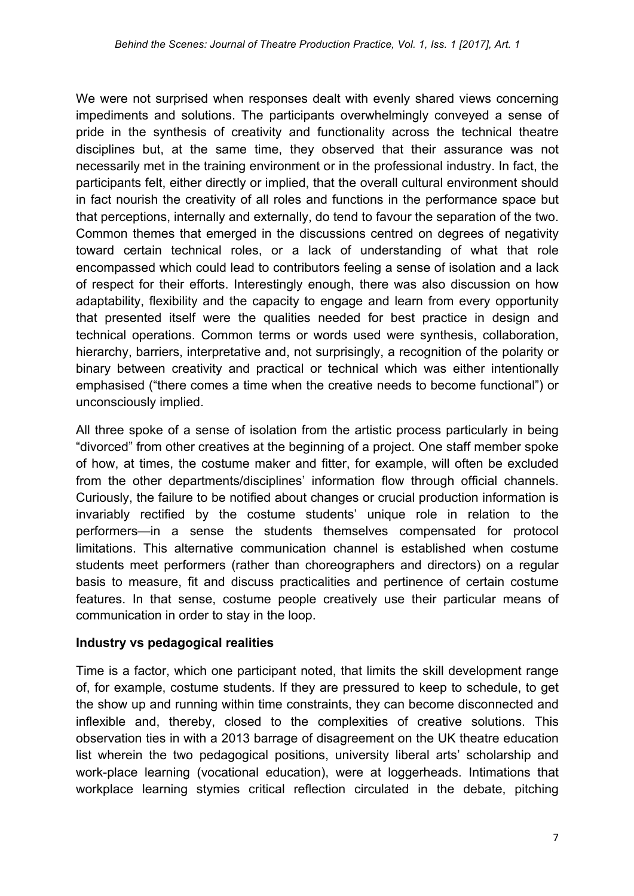We were not surprised when responses dealt with evenly shared views concerning impediments and solutions. The participants overwhelmingly conveyed a sense of pride in the synthesis of creativity and functionality across the technical theatre disciplines but, at the same time, they observed that their assurance was not necessarily met in the training environment or in the professional industry. In fact, the participants felt, either directly or implied, that the overall cultural environment should in fact nourish the creativity of all roles and functions in the performance space but that perceptions, internally and externally, do tend to favour the separation of the two. Common themes that emerged in the discussions centred on degrees of negativity toward certain technical roles, or a lack of understanding of what that role encompassed which could lead to contributors feeling a sense of isolation and a lack of respect for their efforts. Interestingly enough, there was also discussion on how adaptability, flexibility and the capacity to engage and learn from every opportunity that presented itself were the qualities needed for best practice in design and technical operations. Common terms or words used were synthesis, collaboration, hierarchy, barriers, interpretative and, not surprisingly, a recognition of the polarity or binary between creativity and practical or technical which was either intentionally emphasised ("there comes a time when the creative needs to become functional") or unconsciously implied.

All three spoke of a sense of isolation from the artistic process particularly in being "divorced" from other creatives at the beginning of a project. One staff member spoke of how, at times, the costume maker and fitter, for example, will often be excluded from the other departments/disciplines' information flow through official channels. Curiously, the failure to be notified about changes or crucial production information is invariably rectified by the costume students' unique role in relation to the performers—in a sense the students themselves compensated for protocol limitations. This alternative communication channel is established when costume students meet performers (rather than choreographers and directors) on a regular basis to measure, fit and discuss practicalities and pertinence of certain costume features. In that sense, costume people creatively use their particular means of communication in order to stay in the loop.

#### **Industry vs pedagogical realities**

Time is a factor, which one participant noted, that limits the skill development range of, for example, costume students. If they are pressured to keep to schedule, to get the show up and running within time constraints, they can become disconnected and inflexible and, thereby, closed to the complexities of creative solutions. This observation ties in with a 2013 barrage of disagreement on the UK theatre education list wherein the two pedagogical positions, university liberal arts' scholarship and work-place learning (vocational education), were at loggerheads. Intimations that workplace learning stymies critical reflection circulated in the debate, pitching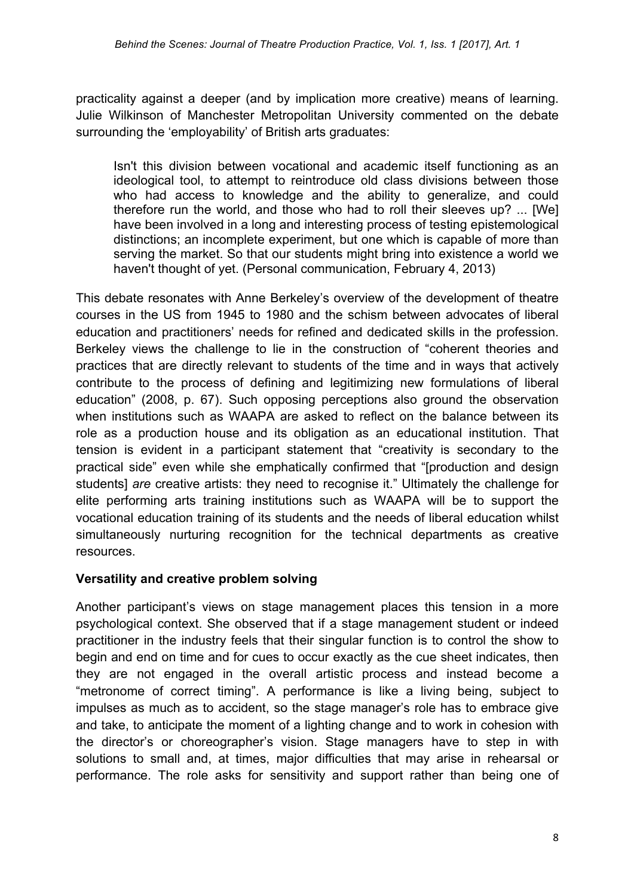practicality against a deeper (and by implication more creative) means of learning. Julie Wilkinson of Manchester Metropolitan University commented on the debate surrounding the 'employability' of British arts graduates:

Isn't this division between vocational and academic itself functioning as an ideological tool, to attempt to reintroduce old class divisions between those who had access to knowledge and the ability to generalize, and could therefore run the world, and those who had to roll their sleeves up? ... [We] have been involved in a long and interesting process of testing epistemological distinctions; an incomplete experiment, but one which is capable of more than serving the market. So that our students might bring into existence a world we haven't thought of yet. (Personal communication, February 4, 2013)

This debate resonates with Anne Berkeley's overview of the development of theatre courses in the US from 1945 to 1980 and the schism between advocates of liberal education and practitioners' needs for refined and dedicated skills in the profession. Berkeley views the challenge to lie in the construction of "coherent theories and practices that are directly relevant to students of the time and in ways that actively contribute to the process of defining and legitimizing new formulations of liberal education" (2008, p. 67). Such opposing perceptions also ground the observation when institutions such as WAAPA are asked to reflect on the balance between its role as a production house and its obligation as an educational institution. That tension is evident in a participant statement that "creativity is secondary to the practical side" even while she emphatically confirmed that "[production and design students] *are* creative artists: they need to recognise it." Ultimately the challenge for elite performing arts training institutions such as WAAPA will be to support the vocational education training of its students and the needs of liberal education whilst simultaneously nurturing recognition for the technical departments as creative resources.

#### **Versatility and creative problem solving**

Another participant's views on stage management places this tension in a more psychological context. She observed that if a stage management student or indeed practitioner in the industry feels that their singular function is to control the show to begin and end on time and for cues to occur exactly as the cue sheet indicates, then they are not engaged in the overall artistic process and instead become a "metronome of correct timing". A performance is like a living being, subject to impulses as much as to accident, so the stage manager's role has to embrace give and take, to anticipate the moment of a lighting change and to work in cohesion with the director's or choreographer's vision. Stage managers have to step in with solutions to small and, at times, major difficulties that may arise in rehearsal or performance. The role asks for sensitivity and support rather than being one of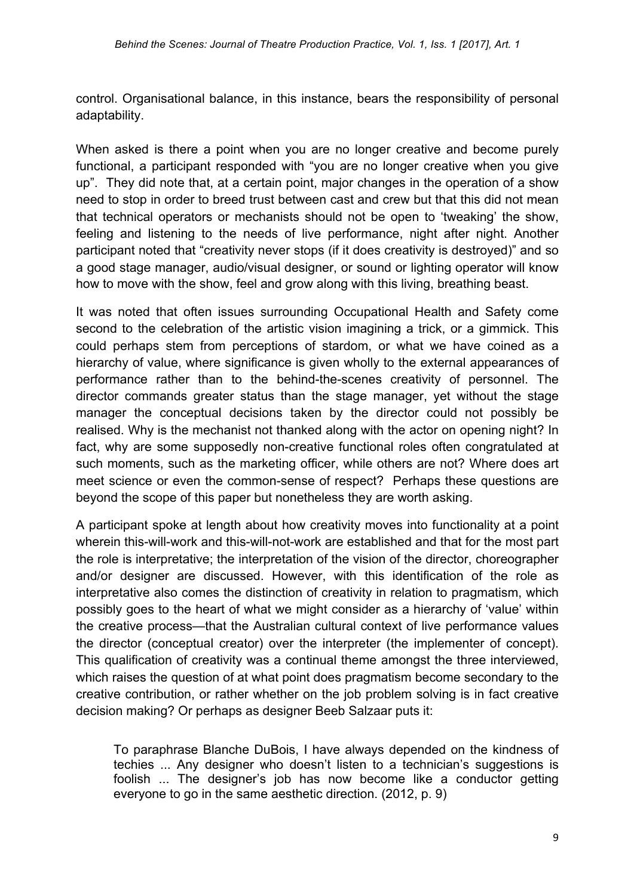control. Organisational balance, in this instance, bears the responsibility of personal adaptability.

When asked is there a point when you are no longer creative and become purely functional, a participant responded with "you are no longer creative when you give up". They did note that, at a certain point, major changes in the operation of a show need to stop in order to breed trust between cast and crew but that this did not mean that technical operators or mechanists should not be open to 'tweaking' the show, feeling and listening to the needs of live performance, night after night. Another participant noted that "creativity never stops (if it does creativity is destroyed)" and so a good stage manager, audio/visual designer, or sound or lighting operator will know how to move with the show, feel and grow along with this living, breathing beast.

It was noted that often issues surrounding Occupational Health and Safety come second to the celebration of the artistic vision imagining a trick, or a gimmick. This could perhaps stem from perceptions of stardom, or what we have coined as a hierarchy of value, where significance is given wholly to the external appearances of performance rather than to the behind-the-scenes creativity of personnel. The director commands greater status than the stage manager, yet without the stage manager the conceptual decisions taken by the director could not possibly be realised. Why is the mechanist not thanked along with the actor on opening night? In fact, why are some supposedly non-creative functional roles often congratulated at such moments, such as the marketing officer, while others are not? Where does art meet science or even the common-sense of respect? Perhaps these questions are beyond the scope of this paper but nonetheless they are worth asking.

A participant spoke at length about how creativity moves into functionality at a point wherein this-will-work and this-will-not-work are established and that for the most part the role is interpretative; the interpretation of the vision of the director, choreographer and/or designer are discussed. However, with this identification of the role as interpretative also comes the distinction of creativity in relation to pragmatism, which possibly goes to the heart of what we might consider as a hierarchy of 'value' within the creative process—that the Australian cultural context of live performance values the director (conceptual creator) over the interpreter (the implementer of concept). This qualification of creativity was a continual theme amongst the three interviewed, which raises the question of at what point does pragmatism become secondary to the creative contribution, or rather whether on the job problem solving is in fact creative decision making? Or perhaps as designer Beeb Salzaar puts it:

To paraphrase Blanche DuBois, I have always depended on the kindness of techies ... Any designer who doesn't listen to a technician's suggestions is foolish ... The designer's job has now become like a conductor getting everyone to go in the same aesthetic direction. (2012, p. 9)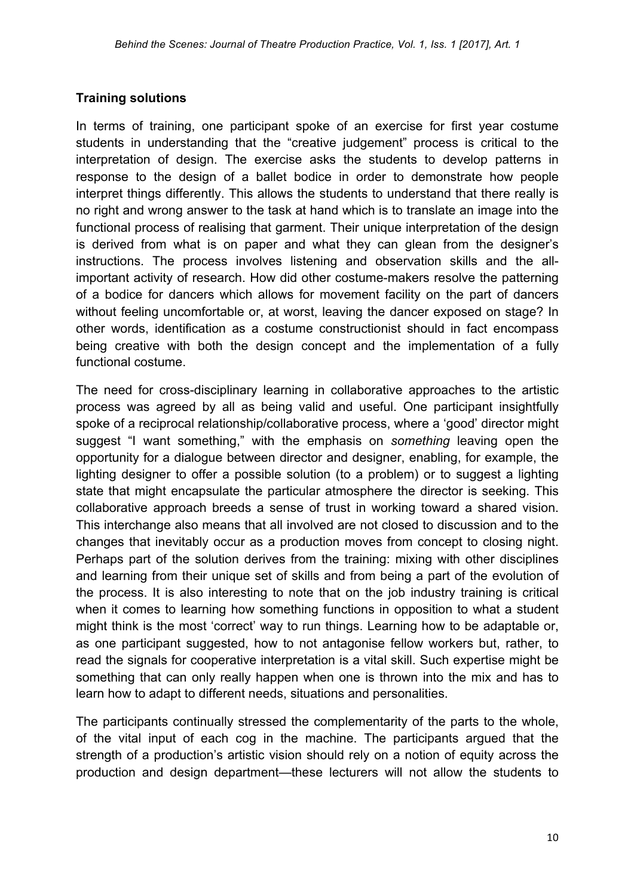#### **Training solutions**

In terms of training, one participant spoke of an exercise for first year costume students in understanding that the "creative judgement" process is critical to the interpretation of design. The exercise asks the students to develop patterns in response to the design of a ballet bodice in order to demonstrate how people interpret things differently. This allows the students to understand that there really is no right and wrong answer to the task at hand which is to translate an image into the functional process of realising that garment. Their unique interpretation of the design is derived from what is on paper and what they can glean from the designer's instructions. The process involves listening and observation skills and the allimportant activity of research. How did other costume-makers resolve the patterning of a bodice for dancers which allows for movement facility on the part of dancers without feeling uncomfortable or, at worst, leaving the dancer exposed on stage? In other words, identification as a costume constructionist should in fact encompass being creative with both the design concept and the implementation of a fully functional costume.

The need for cross-disciplinary learning in collaborative approaches to the artistic process was agreed by all as being valid and useful. One participant insightfully spoke of a reciprocal relationship/collaborative process, where a 'good' director might suggest "I want something," with the emphasis on *something* leaving open the opportunity for a dialogue between director and designer, enabling, for example, the lighting designer to offer a possible solution (to a problem) or to suggest a lighting state that might encapsulate the particular atmosphere the director is seeking. This collaborative approach breeds a sense of trust in working toward a shared vision. This interchange also means that all involved are not closed to discussion and to the changes that inevitably occur as a production moves from concept to closing night. Perhaps part of the solution derives from the training: mixing with other disciplines and learning from their unique set of skills and from being a part of the evolution of the process. It is also interesting to note that on the job industry training is critical when it comes to learning how something functions in opposition to what a student might think is the most 'correct' way to run things. Learning how to be adaptable or, as one participant suggested, how to not antagonise fellow workers but, rather, to read the signals for cooperative interpretation is a vital skill. Such expertise might be something that can only really happen when one is thrown into the mix and has to learn how to adapt to different needs, situations and personalities.

The participants continually stressed the complementarity of the parts to the whole, of the vital input of each cog in the machine. The participants argued that the strength of a production's artistic vision should rely on a notion of equity across the production and design department—these lecturers will not allow the students to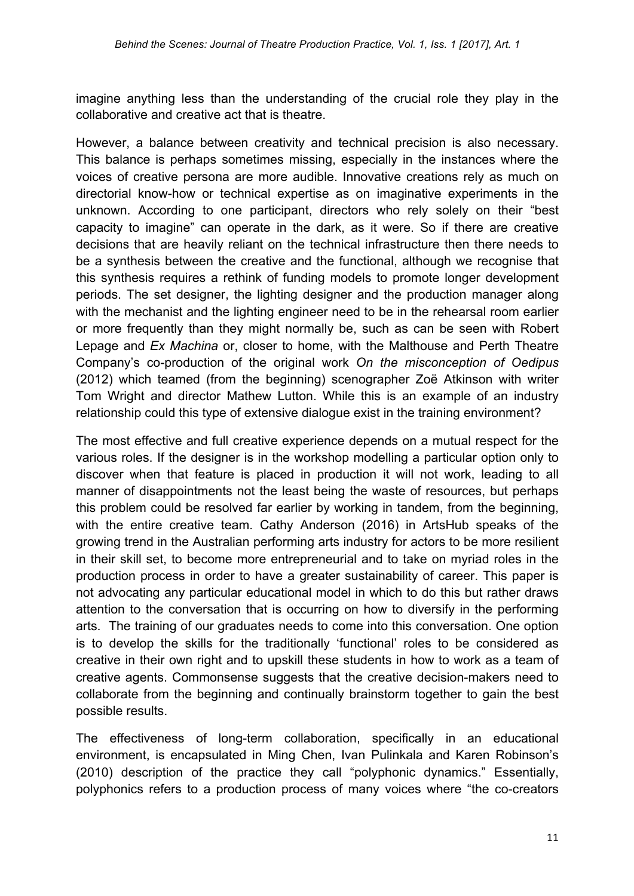imagine anything less than the understanding of the crucial role they play in the collaborative and creative act that is theatre.

However, a balance between creativity and technical precision is also necessary. This balance is perhaps sometimes missing, especially in the instances where the voices of creative persona are more audible. Innovative creations rely as much on directorial know-how or technical expertise as on imaginative experiments in the unknown. According to one participant, directors who rely solely on their "best capacity to imagine" can operate in the dark, as it were. So if there are creative decisions that are heavily reliant on the technical infrastructure then there needs to be a synthesis between the creative and the functional, although we recognise that this synthesis requires a rethink of funding models to promote longer development periods. The set designer, the lighting designer and the production manager along with the mechanist and the lighting engineer need to be in the rehearsal room earlier or more frequently than they might normally be, such as can be seen with Robert Lepage and *Ex Machina* or, closer to home, with the Malthouse and Perth Theatre Company's co-production of the original work *On the misconception of Oedipus*  (2012) which teamed (from the beginning) scenographer Zoë Atkinson with writer Tom Wright and director Mathew Lutton. While this is an example of an industry relationship could this type of extensive dialogue exist in the training environment?

The most effective and full creative experience depends on a mutual respect for the various roles. If the designer is in the workshop modelling a particular option only to discover when that feature is placed in production it will not work, leading to all manner of disappointments not the least being the waste of resources, but perhaps this problem could be resolved far earlier by working in tandem, from the beginning, with the entire creative team. Cathy Anderson (2016) in ArtsHub speaks of the growing trend in the Australian performing arts industry for actors to be more resilient in their skill set, to become more entrepreneurial and to take on myriad roles in the production process in order to have a greater sustainability of career. This paper is not advocating any particular educational model in which to do this but rather draws attention to the conversation that is occurring on how to diversify in the performing arts. The training of our graduates needs to come into this conversation. One option is to develop the skills for the traditionally 'functional' roles to be considered as creative in their own right and to upskill these students in how to work as a team of creative agents. Commonsense suggests that the creative decision-makers need to collaborate from the beginning and continually brainstorm together to gain the best possible results.

The effectiveness of long-term collaboration, specifically in an educational environment, is encapsulated in Ming Chen, Ivan Pulinkala and Karen Robinson's (2010) description of the practice they call "polyphonic dynamics." Essentially, polyphonics refers to a production process of many voices where "the co-creators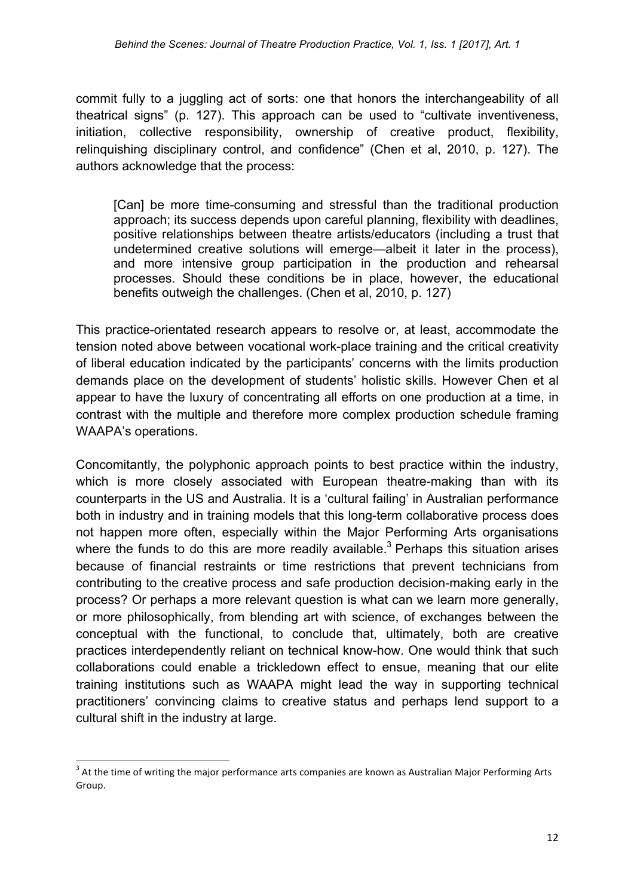commit fully to a juggling act of sorts: one that honors the interchangeability of all theatrical signs" (p. 127). This approach can be used to "cultivate inventiveness, initiation, collective responsibility, ownership of creative product, flexibility, relinquishing disciplinary control, and confidence" (Chen et al, 2010, p. 127). The authors acknowledge that the process:

[Can] be more time-consuming and stressful than the traditional production approach; its success depends upon careful planning, flexibility with deadlines, positive relationships between theatre artists/educators (including a trust that undetermined creative solutions will emerge—albeit it later in the process), and more intensive group participation in the production and rehearsal processes. Should these conditions be in place, however, the educational benefits outweigh the challenges. (Chen et al, 2010, p. 127)

This practice-orientated research appears to resolve or, at least, accommodate the tension noted above between vocational work-place training and the critical creativity of liberal education indicated by the participants' concerns with the limits production demands place on the development of students' holistic skills. However Chen et al appear to have the luxury of concentrating all efforts on one production at a time, in contrast with the multiple and therefore more complex production schedule framing WAAPA's operations.

Concomitantly, the polyphonic approach points to best practice within the industry, which is more closely associated with European theatre-making than with its counterparts in the US and Australia. It is a 'cultural failing' in Australian performance both in industry and in training models that this long-term collaborative process does not happen more often, especially within the Major Performing Arts organisations where the funds to do this are more readily available.<sup>3</sup> Perhaps this situation arises because of financial restraints or time restrictions that prevent technicians from contributing to the creative process and safe production decision-making early in the process? Or perhaps a more relevant question is what can we learn more generally, or more philosophically, from blending art with science, of exchanges between the conceptual with the functional, to conclude that, ultimately, both are creative practices interdependently reliant on technical know-how. One would think that such collaborations could enable a trickledown effect to ensue, meaning that our elite training institutions such as WAAPA might lead the way in supporting technical practitioners' convincing claims to creative status and perhaps lend support to a cultural shift in the industry at large.

 

 $3$  At the time of writing the major performance arts companies are known as Australian Major Performing Arts Group.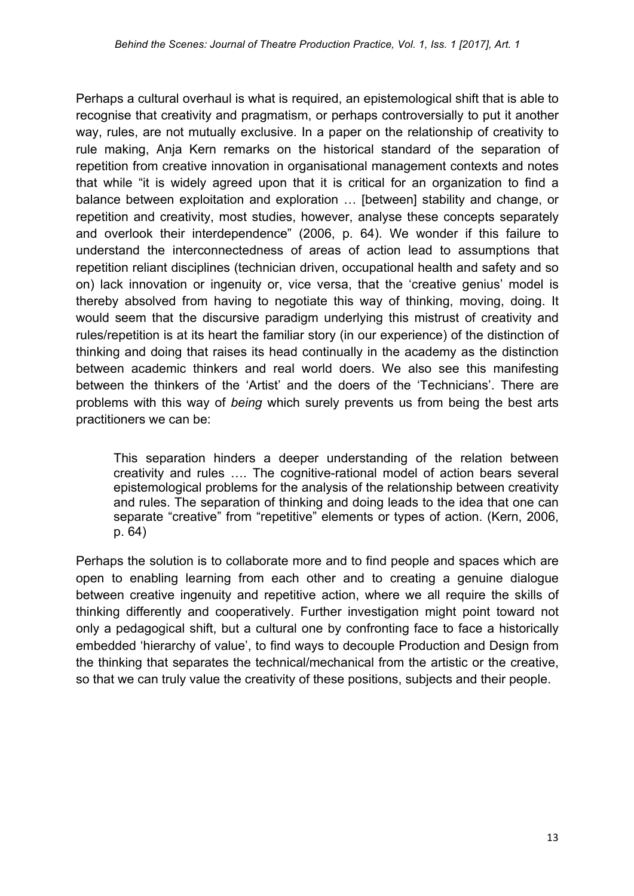Perhaps a cultural overhaul is what is required, an epistemological shift that is able to recognise that creativity and pragmatism, or perhaps controversially to put it another way, rules, are not mutually exclusive. In a paper on the relationship of creativity to rule making, Anja Kern remarks on the historical standard of the separation of repetition from creative innovation in organisational management contexts and notes that while "it is widely agreed upon that it is critical for an organization to find a balance between exploitation and exploration … [between] stability and change, or repetition and creativity, most studies, however, analyse these concepts separately and overlook their interdependence" (2006, p. 64). We wonder if this failure to understand the interconnectedness of areas of action lead to assumptions that repetition reliant disciplines (technician driven, occupational health and safety and so on) lack innovation or ingenuity or, vice versa, that the 'creative genius' model is thereby absolved from having to negotiate this way of thinking, moving, doing. It would seem that the discursive paradigm underlying this mistrust of creativity and rules/repetition is at its heart the familiar story (in our experience) of the distinction of thinking and doing that raises its head continually in the academy as the distinction between academic thinkers and real world doers. We also see this manifesting between the thinkers of the 'Artist' and the doers of the 'Technicians'. There are problems with this way of *being* which surely prevents us from being the best arts practitioners we can be:

This separation hinders a deeper understanding of the relation between creativity and rules …. The cognitive-rational model of action bears several epistemological problems for the analysis of the relationship between creativity and rules. The separation of thinking and doing leads to the idea that one can separate "creative" from "repetitive" elements or types of action. (Kern, 2006, p. 64)

Perhaps the solution is to collaborate more and to find people and spaces which are open to enabling learning from each other and to creating a genuine dialogue between creative ingenuity and repetitive action, where we all require the skills of thinking differently and cooperatively. Further investigation might point toward not only a pedagogical shift, but a cultural one by confronting face to face a historically embedded 'hierarchy of value', to find ways to decouple Production and Design from the thinking that separates the technical/mechanical from the artistic or the creative, so that we can truly value the creativity of these positions, subjects and their people.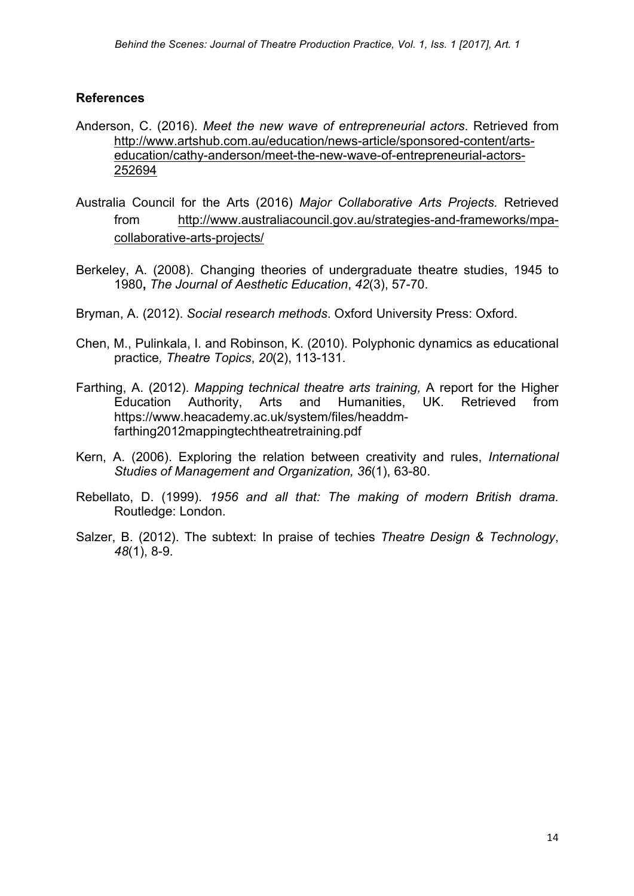#### **References**

- Anderson, C. (2016). *Meet the new wave of entrepreneurial actors*. Retrieved from http://www.artshub.com.au/education/news-article/sponsored-content/artseducation/cathy-anderson/meet-the-new-wave-of-entrepreneurial-actors-252694
- Australia Council for the Arts (2016) *Major Collaborative Arts Projects.* Retrieved from http://www.australiacouncil.gov.au/strategies-and-frameworks/mpacollaborative-arts-projects/
- Berkeley, A. (2008). Changing theories of undergraduate theatre studies, 1945 to 1980**,** *The Journal of Aesthetic Education*, *42*(3), 57-70.
- Bryman, A. (2012). *Social research methods*. Oxford University Press: Oxford.
- Chen, M., Pulinkala, I. and Robinson, K. (2010). Polyphonic dynamics as educational practice*, Theatre Topics*, *20*(2), 113-131.
- Farthing, A. (2012). *Mapping technical theatre arts training,* A report for the Higher Education Authority, Arts and Humanities, UK. Retrieved from https://www.heacademy.ac.uk/system/files/headdmfarthing2012mappingtechtheatretraining.pdf
- Kern, A. (2006). Exploring the relation between creativity and rules, *International Studies of Management and Organization, 36*(1), 63-80.
- Rebellato, D. (1999). *1956 and all that: The making of modern British drama.*  Routledge: London.
- Salzer, B. (2012). The subtext: In praise of techies *Theatre Design & Technology*, *48*(1), 8-9.